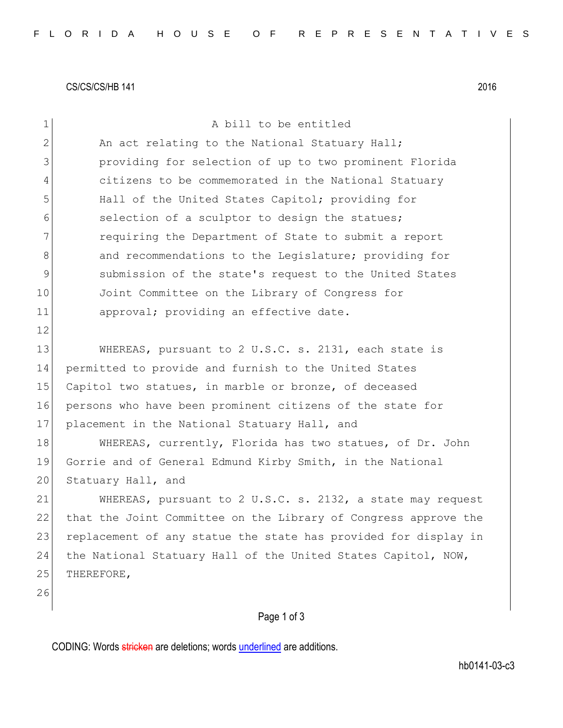CS/CS/CS/HB 141 2016

| $\mathbf 1$   | A bill to be entitled                                           |
|---------------|-----------------------------------------------------------------|
| $\mathbf{2}$  | An act relating to the National Statuary Hall;                  |
| 3             | providing for selection of up to two prominent Florida          |
| 4             | citizens to be commemorated in the National Statuary            |
| 5             | Hall of the United States Capitol; providing for                |
| 6             | selection of a sculptor to design the statues;                  |
| 7             | requiring the Department of State to submit a report            |
| 8             | and recommendations to the Legislature; providing for           |
| $\mathcal{G}$ | submission of the state's request to the United States          |
| 10            | Joint Committee on the Library of Congress for                  |
| 11            | approval; providing an effective date.                          |
| 12            |                                                                 |
| 13            | WHEREAS, pursuant to 2 U.S.C. s. 2131, each state is            |
| 14            | permitted to provide and furnish to the United States           |
| 15            | Capitol two statues, in marble or bronze, of deceased           |
| 16            | persons who have been prominent citizens of the state for       |
| 17            | placement in the National Statuary Hall, and                    |
| 18            | WHEREAS, currently, Florida has two statues, of Dr. John        |
| 19            | Gorrie and of General Edmund Kirby Smith, in the National       |
| 20            | Statuary Hall, and                                              |
| 21            | WHEREAS, pursuant to 2 U.S.C. s. 2132, a state may request      |
| 22            | that the Joint Committee on the Library of Congress approve the |
| 23            | replacement of any statue the state has provided for display in |
| 24            | the National Statuary Hall of the United States Capitol, NOW,   |
| 25            | THEREFORE,                                                      |
| 26            |                                                                 |
|               | Page 1 of 3                                                     |

CODING: Words stricken are deletions; words underlined are additions.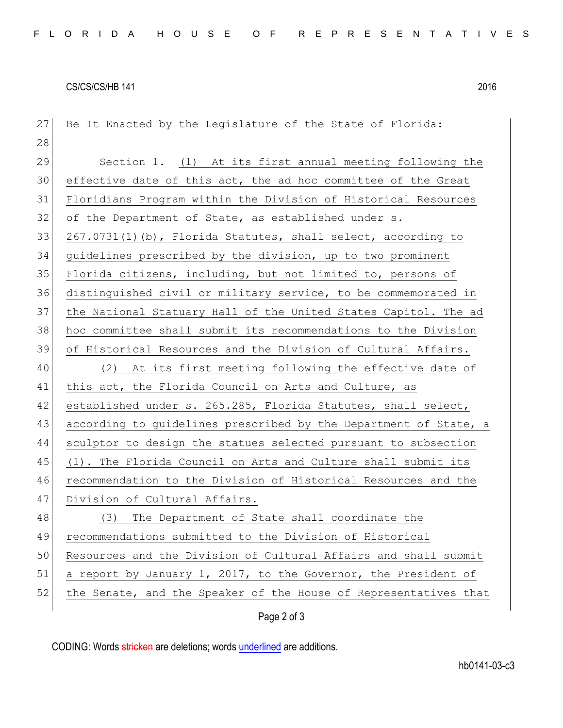## CS/CS/CS/HB 141 2016

| 27 | Be It Enacted by the Legislature of the State of Florida:        |
|----|------------------------------------------------------------------|
| 28 |                                                                  |
| 29 | Section 1. (1) At its first annual meeting following the         |
| 30 | effective date of this act, the ad hoc committee of the Great    |
| 31 | Floridians Program within the Division of Historical Resources   |
| 32 | of the Department of State, as established under s.              |
| 33 | 267.0731(1)(b), Florida Statutes, shall select, according to     |
| 34 | guidelines prescribed by the division, up to two prominent       |
| 35 | Florida citizens, including, but not limited to, persons of      |
| 36 | distinguished civil or military service, to be commemorated in   |
| 37 | the National Statuary Hall of the United States Capitol. The ad  |
| 38 | hoc committee shall submit its recommendations to the Division   |
| 39 | of Historical Resources and the Division of Cultural Affairs.    |
| 40 | (2) At its first meeting following the effective date of         |
| 41 | this act, the Florida Council on Arts and Culture, as            |
| 42 | established under s. 265.285, Florida Statutes, shall select,    |
| 43 | according to guidelines prescribed by the Department of State, a |
| 44 | sculptor to design the statues selected pursuant to subsection   |
| 45 | (1). The Florida Council on Arts and Culture shall submit its    |
| 46 | recommendation to the Division of Historical Resources and the   |
| 47 | Division of Cultural Affairs.                                    |
| 48 | The Department of State shall coordinate the<br>(3)              |
| 49 | recommendations submitted to the Division of Historical          |
| 50 | Resources and the Division of Cultural Affairs and shall submit  |
| 51 | a report by January 1, 2017, to the Governor, the President of   |
| 52 | the Senate, and the Speaker of the House of Representatives that |
|    | Page 2 of 3                                                      |

CODING: Words stricken are deletions; words underlined are additions.